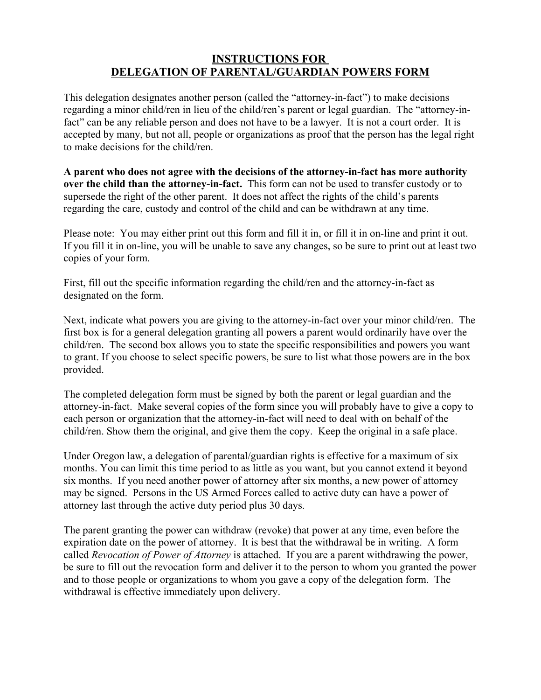## **INSTRUCTIONS FOR DELEGATION OF PARENTAL/GUARDIAN POWERS FORM**

This delegation designates another person (called the "attorney-in-fact") to make decisions regarding a minor child/ren in lieu of the child/ren's parent or legal guardian. The "attorney-infact" can be any reliable person and does not have to be a lawyer. It is not a court order. It is accepted by many, but not all, people or organizations as proof that the person has the legal right to make decisions for the child/ren.

**A parent who does not agree with the decisions of the attorney-in-fact has more authority over the child than the attorney-in-fact.** This form can not be used to transfer custody or to supersede the right of the other parent. It does not affect the rights of the child's parents regarding the care, custody and control of the child and can be withdrawn at any time.

Please note: You may either print out this form and fill it in, or fill it in on-line and print it out. If you fill it in on-line, you will be unable to save any changes, so be sure to print out at least two copies of your form.

First, fill out the specific information regarding the child/ren and the attorney-in-fact as designated on the form.

Next, indicate what powers you are giving to the attorney-in-fact over your minor child/ren. The first box is for a general delegation granting all powers a parent would ordinarily have over the child/ren. The second box allows you to state the specific responsibilities and powers you want to grant. If you choose to select specific powers, be sure to list what those powers are in the box provided.

The completed delegation form must be signed by both the parent or legal guardian and the attorney-in-fact. Make several copies of the form since you will probably have to give a copy to each person or organization that the attorney-in-fact will need to deal with on behalf of the child/ren. Show them the original, and give them the copy. Keep the original in a safe place.

Under Oregon law, a delegation of parental/guardian rights is effective for a maximum of six months. You can limit this time period to as little as you want, but you cannot extend it beyond six months. If you need another power of attorney after six months, a new power of attorney may be signed. Persons in the US Armed Forces called to active duty can have a power of attorney last through the active duty period plus 30 days.

The parent granting the power can withdraw (revoke) that power at any time, even before the expiration date on the power of attorney. It is best that the withdrawal be in writing. A form called *Revocation of Power of Attorney* is attached. If you are a parent withdrawing the power, be sure to fill out the revocation form and deliver it to the person to whom you granted the power and to those people or organizations to whom you gave a copy of the delegation form. The withdrawal is effective immediately upon delivery.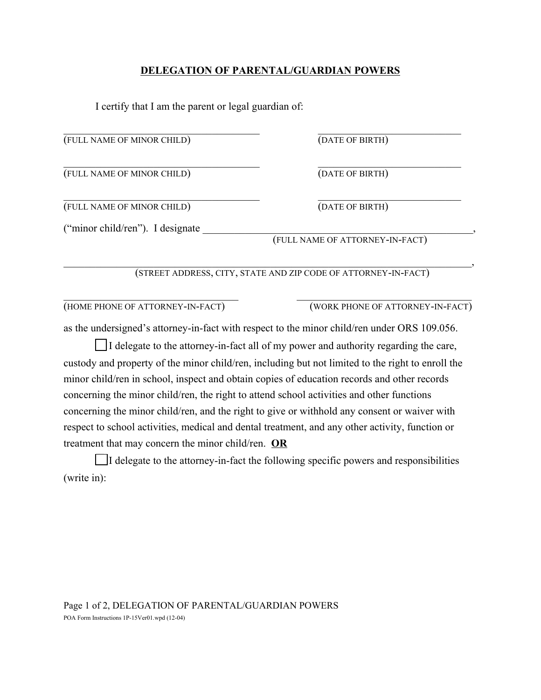## **DELEGATION OF PARENTAL/GUARDIAN POWERS**

I certify that I am the parent or legal guardian of:

| (FULL NAME OF MINOR CHILD)                                                                  | (DATE OF BIRTH)                                                                                   |
|---------------------------------------------------------------------------------------------|---------------------------------------------------------------------------------------------------|
| (FULL NAME OF MINOR CHILD)                                                                  | (DATE OF BIRTH)                                                                                   |
| (FULL NAME OF MINOR CHILD)                                                                  | (DATE OF BIRTH)                                                                                   |
| ("minor child/ren"). I designate                                                            |                                                                                                   |
| (FULL NAME OF ATTORNEY-IN-FACT)                                                             |                                                                                                   |
|                                                                                             | (STREET ADDRESS, CITY, STATE AND ZIP CODE OF ATTORNEY-IN-FACT)                                    |
| (HOME PHONE OF ATTORNEY-IN-FACT)                                                            | (WORK PHONE OF ATTORNEY-IN-FACT)                                                                  |
|                                                                                             | as the undersigned's attorney-in-fact with respect to the minor child/ren under ORS 109.056.      |
|                                                                                             | I delegate to the attorney-in-fact all of my power and authority regarding the care,              |
|                                                                                             | custody and property of the minor child/ren, including but not limited to the right to enroll the |
| minor child/ren in school, inspect and obtain copies of education records and other records |                                                                                                   |
| concerning the minor child/ren, the right to attend school activities and other functions   |                                                                                                   |

concerning the minor child/ren, and the right to give or withhold any consent or waiver with respect to school activities, medical and dental treatment, and any other activity, function or treatment that may concern the minor child/ren. **OR**

 $\Box$  I delegate to the attorney-in-fact the following specific powers and responsibilities (write in):

Page 1 of 2, DELEGATION OF PARENTAL/GUARDIAN POWERS POA Form Instructions 1P-15Ver01.wpd (12-04)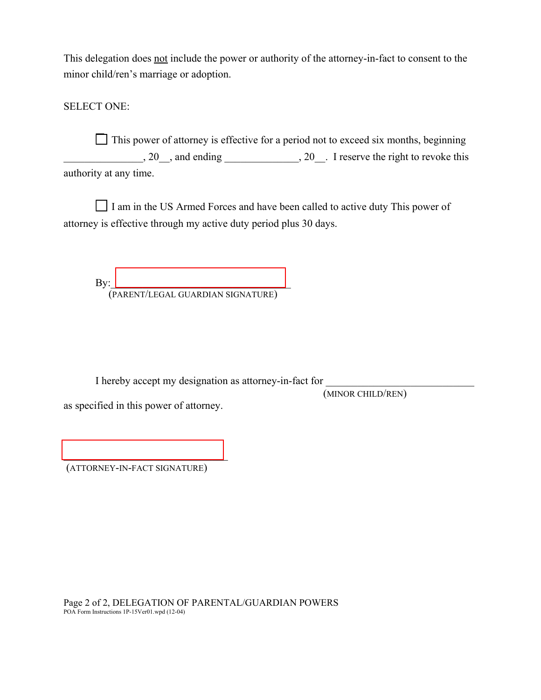This delegation does not include the power or authority of the attorney-in-fact to consent to the minor child/ren's marriage or adoption.

SELECT ONE:

 $\Box$  This power of attorney is effective for a period not to exceed six months, beginning 20 and ending 20 30 and ending 20 Figure 1. The right to revoke this authority at any time.

 $\Box$  I am in the US Armed Forces and have been called to active duty This power of attorney is effective through my active duty period plus 30 days.

 $\mathbf{By:}$ (PARENT/LEGAL GUARDIAN SIGNATURE)

I hereby accept my designation as attorney-in-fact for

(MINOR CHILD/REN)

as specified in this power of attorney.

 $\mathcal{L}_\text{max}$ (ATTORNEY-IN-FACT SIGNATURE)